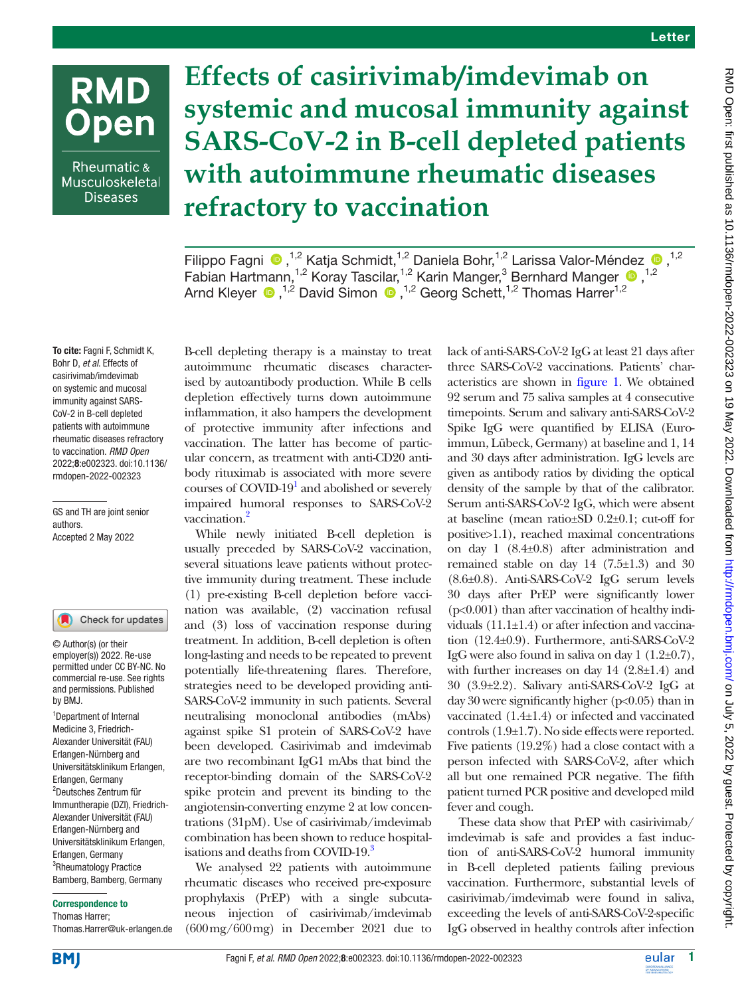# **RMD Open**

Rheumatic & Musculoskeletal **Diseases** 

**Effects of casirivimab/imdevimab on systemic and mucosal immunity against SARS-CoV-2 in B-cell depleted patients with autoimmune rheumatic diseases refractory to vaccination**

FilippoFagni <sup>®</sup>,<sup>1,2</sup> Katja Schmidt,<sup>1,2</sup> Daniela Bohr,<sup>1,2</sup> Larissa Valor-Méndez <sup>®</sup>,<sup>1,2</sup> Fabian Hartmann,<sup>1,2</sup> Koray Tascilar,<sup>1,2</sup> Karin Manger,<sup>3</sup> Bernhard Manger <sup>1,2</sup> ArndKleyer  $\bigcirc$  ,<sup>1,2</sup> David Simon  $\bigcirc$  ,<sup>1,2</sup> Georg Schett,<sup>1,2</sup> Thomas Harrer<sup>1,2</sup>

To cite: Fagni F, Schmidt K, Bohr D, *et al*. Effects of casirivimab/imdevimab on systemic and mucosal immunity against SARS-CoV-2 in B-cell depleted patients with autoimmune rheumatic diseases refractory to vaccination. *RMD Open* 2022;8:e002323. doi:10.1136/ rmdopen-2022-002323

GS and TH are joint senior authors. Accepted 2 May 2022

#### Check for updates

© Author(s) (or their employer(s)) 2022. Re-use permitted under CC BY-NC. No commercial re-use. See rights and permissions. Published by BMJ.

<sup>1</sup>Department of Internal Medicine 3, Friedrich-Alexander Universität (FAU) Erlangen-Nürnberg and Universitätsklinikum Erlangen, Erlangen, Germany 2 Deutsches Zentrum für Immuntherapie (DZI), Friedrich-Alexander Universität (FAU) Erlangen-Nürnberg and Universitätsklinikum Erlangen, Erlangen, Germany <sup>3</sup>Rheumatology Practice Bamberg, Bamberg, Germany

#### Correspondence to

Thomas Harrer; Thomas.Harrer@uk-erlangen.de

B-cell depleting therapy is a mainstay to treat autoimmune rheumatic diseases characterised by autoantibody production. While B cells depletion effectively turns down autoimmune inflammation, it also hampers the development of protective immunity after infections and vaccination. The latter has become of particular concern, as treatment with anti-CD20 antibody rituximab is associated with more severe courses of COVID-19<sup>1</sup> and abolished or severely impaired humoral responses to SARS-CoV-2 vaccination.<sup>[2](#page-1-1)</sup>

While newly initiated B-cell depletion is usually preceded by SARS-CoV-2 vaccination, several situations leave patients without protective immunity during treatment. These include (1) pre-existing B-cell depletion before vaccination was available, (2) vaccination refusal and (3) loss of vaccination response during treatment. In addition, B-cell depletion is often long-lasting and needs to be repeated to prevent potentially life-threatening flares. Therefore, strategies need to be developed providing anti-SARS-CoV-2 immunity in such patients. Several neutralising monoclonal antibodies (mAbs) against spike S1 protein of SARS-CoV-2 have been developed. Casirivimab and imdevimab are two recombinant IgG1 mAbs that bind the receptor-binding domain of the SARS-CoV-2 spike protein and prevent its binding to the angiotensin-converting enzyme 2 at low concentrations (31pM). Use of casirivimab/imdevimab combination has been shown to reduce hospitalisations and deaths from COVID-19.<sup>3</sup>

We analysed 22 patients with autoimmune rheumatic diseases who received pre-exposure prophylaxis (PrEP) with a single subcutaneous injection of casirivimab/imdevimab (600mg/600mg) in December 2021 due to

lack of anti-SARS-CoV-2 IgG at least 21 days after three SARS-CoV-2 vaccinations. Patients' characteristics are shown in [figure](#page-1-3) 1. We obtained 92 serum and 75 saliva samples at 4 consecutive timepoints. Serum and salivary anti-SARS-CoV-2 Spike IgG were quantified by ELISA (Euroimmun, Lübeck, Germany) at baseline and 1, 14 and 30 days after administration. IgG levels are given as antibody ratios by dividing the optical density of the sample by that of the calibrator. Serum anti-SARS-CoV-2 IgG, which were absent at baseline (mean ratio±SD 0.2±0.1; cut-off for positive>1.1), reached maximal concentrations on day 1 (8.4±0.8) after administration and remained stable on day 14 (7.5±1.3) and 30 (8.6±0.8). Anti-SARS-CoV-2 IgG serum levels 30 days after PrEP were significantly lower  $(p<0.001)$  than after vaccination of healthy individuals (11.1±1.4) or after infection and vaccination (12.4±0.9). Furthermore, anti-SARS-CoV-2 IgG were also found in saliva on day  $1(1.2\pm 0.7)$ , with further increases on day 14 (2.8±1.4) and 30 (3.9±2.2). Salivary anti-SARS-CoV-2 IgG at day 30 were significantly higher (p<0.05) than in vaccinated (1.4±1.4) or infected and vaccinated controls (1.9±1.7). No side effects were reported. Five patients (19.2%) had a close contact with a person infected with SARS-CoV-2, after which all but one remained PCR negative. The fifth patient turned PCR positive and developed mild fever and cough.

These data show that PrEP with casirivimab/ imdevimab is safe and provides a fast induction of anti-SARS-CoV-2 humoral immunity in B-cell depleted patients failing previous vaccination. Furthermore, substantial levels of casirivimab/imdevimab were found in saliva, exceeding the levels of anti-SARS-CoV-2-specific IgG observed in healthy controls after infection